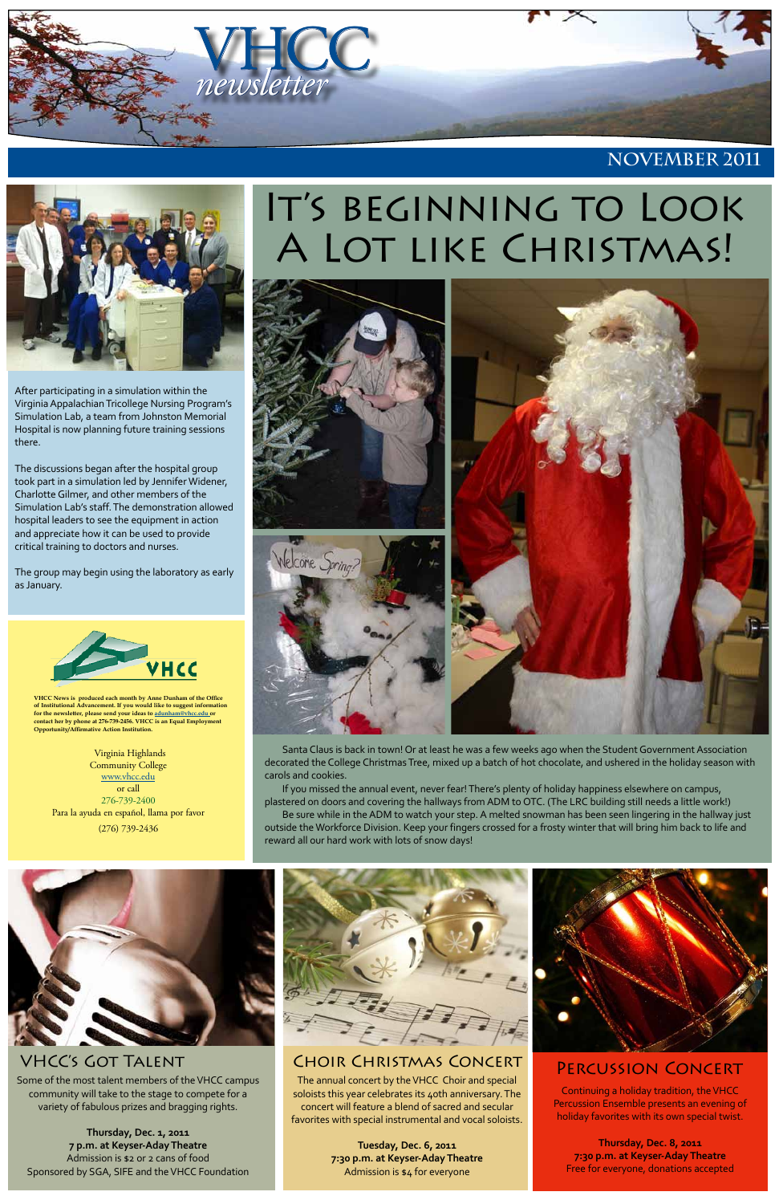

**VHCC News is produced each month by Anne Dunham of the Office of Institutional Advancement. If you would like to suggest information for the newsletter, please send your ideas to [adunham@vhcc.edu or](mailto:adunham@vhcc.edu) contact her by phone at 276-739-2456. VHCC is an Equal Employment Opportunity/Affirmative Action Institution.**

Virginia Highlands **Community College** [www.vhcc.edu](http://www.vhcc.edu) or call 276-739-2400 Para la ayuda en español, llama por favor (276) 739-2436

# IT'S BEGINNING TO LOOK A LOT LIKE CHRISTMAS!



**November 2011**



### Choir Christmas Concert Percussion Concert

### VHCC's Got Talent

After participating in a simulation within the Virginia Appalachian Tricollege Nursing Program's Simulation Lab, a team from Johnston Memorial Hospital is now planning future training sessions there.

The discussions began after the hospital group took part in a simulation led by Jennifer Widener, Charlotte Gilmer, and other members of the Simulation Lab's staff. The demonstration allowed hospital leaders to see the equipment in action and appreciate how it can be used to provide critical training to doctors and nurses.

The group may begin using the laboratory as early as January.



Santa Claus is back in town! Or at least he was a few weeks ago when the Student Government Association decorated the College Christmas Tree, mixed up a batch of hot chocolate, and ushered in the holiday season with carols and cookies.

If you missed the annual event, never fear! There's plenty of holiday happiness elsewhere on campus, plastered on doors and covering the hallways from ADM to OTC. (The LRC building still needs a little work!)

Be sure while in the ADM to watch your step. A melted snowman has been seen lingering in the hallway just outside the Workforce Division. Keep your fingers crossed for a frosty winter that will bring him back to life and reward all our hard work with lots of snow days!



Some of the most talent members of the VHCC campus community will take to the stage to compete for a variety of fabulous prizes and bragging rights.

**Thursday, Dec. 1, 2011 7 p.m. at Keyser-Aday Theatre** Admission is \$2 or 2 cans of food Sponsored by SGA, SIFE and the VHCC Foundation



The annual concert by the VHCC Choir and special soloists this year celebrates its 40th anniversary. The concert will feature a blend of sacred and secular favorites with special instrumental and vocal soloists.

> **Tuesday, Dec. 6, 2011 7:30 p.m. at Keyser-Aday Theatre** Admission is \$4 for everyone



Continuing a holiday tradition, the VHCC Percussion Ensemble presents an evening of holiday favorites with its own special twist.

**Thursday, Dec. 8, 2011 7:30 p.m. at Keyser-Aday Theatre** Free for everyone, donations accepted